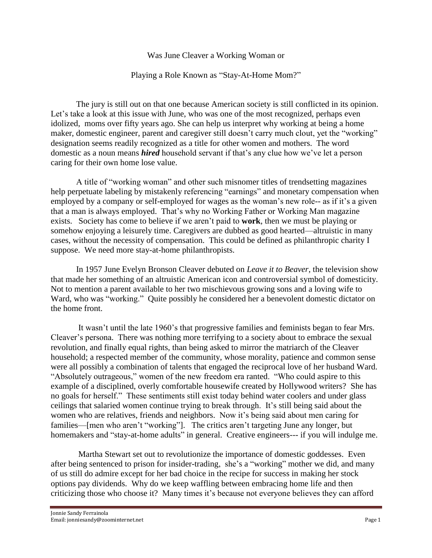Was June Cleaver a Working Woman or

Playing a Role Known as "Stay-At-Home Mom?"

The jury is still out on that one because American society is still conflicted in its opinion. Let's take a look at this issue with June, who was one of the most recognized, perhaps even idolized, moms over fifty years ago. She can help us interpret why working at being a home maker, domestic engineer, parent and caregiver still doesn't carry much clout, yet the "working" designation seems readily recognized as a title for other women and mothers. The word domestic as a noun means *hired* household servant if that's any clue how we've let a person caring for their own home lose value.

A title of "working woman" and other such misnomer titles of trendsetting magazines help perpetuate labeling by mistakenly referencing "earnings" and monetary compensation when employed by a company or self-employed for wages as the woman's new role-- as if it's a given that a man is always employed. That's why no Working Father or Working Man magazine exists. Society has come to believe if we aren't paid to **work**, then we must be playing or somehow enjoying a leisurely time. Caregivers are dubbed as good hearted—altruistic in many cases, without the necessity of compensation. This could be defined as philanthropic charity I suppose. We need more stay-at-home philanthropists.

In 1957 June Evelyn Bronson Cleaver debuted on *Leave it to Beaver*, the television show that made her something of an altruistic American icon and controversial symbol of domesticity. Not to mention a parent available to her two mischievous growing sons and a loving wife to Ward, who was "working." Quite possibly he considered her a benevolent domestic dictator on the home front.

It wasn't until the late 1960's that progressive families and feminists began to fear Mrs. Cleaver's persona. There was nothing more terrifying to a society about to embrace the sexual revolution, and finally equal rights, than being asked to mirror the matriarch of the Cleaver household; a respected member of the community, whose morality, patience and common sense were all possibly a combination of talents that engaged the reciprocal love of her husband Ward. "Absolutely outrageous," women of the new freedom era ranted. "Who could aspire to this example of a disciplined, overly comfortable housewife created by Hollywood writers? She has no goals for herself." These sentiments still exist today behind water coolers and under glass ceilings that salaried women continue trying to break through. It's still being said about the women who are relatives, friends and neighbors. Now it's being said about men caring for families—[men who aren't "working"]. The critics aren't targeting June any longer, but homemakers and "stay-at-home adults" in general. Creative engineers--- if you will indulge me.

Martha Stewart set out to revolutionize the importance of domestic goddesses. Even after being sentenced to prison for insider-trading, she's a "working" mother we did, and many of us still do admire except for her bad choice in the recipe for success in making her stock options pay dividends. Why do we keep waffling between embracing home life and then criticizing those who choose it? Many times it's because not everyone believes they can afford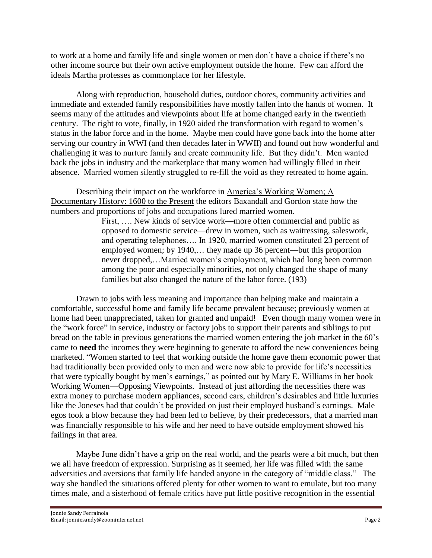to work at a home and family life and single women or men don't have a choice if there's no other income source but their own active employment outside the home. Few can afford the ideals Martha professes as commonplace for her lifestyle.

Along with reproduction, household duties, outdoor chores, community activities and immediate and extended family responsibilities have mostly fallen into the hands of women. It seems many of the attitudes and viewpoints about life at home changed early in the twentieth century. The right to vote, finally, in 1920 aided the transformation with regard to women's status in the labor force and in the home. Maybe men could have gone back into the home after serving our country in WWI (and then decades later in WWII) and found out how wonderful and challenging it was to nurture family and create community life. But they didn't. Men wanted back the jobs in industry and the marketplace that many women had willingly filled in their absence. Married women silently struggled to re-fill the void as they retreated to home again.

Describing their impact on the workforce in America's Working Women; A Documentary History: 1600 to the Present the editors Baxandall and Gordon state how the numbers and proportions of jobs and occupations lured married women.

> First, …. New kinds of service work—more often commercial and public as opposed to domestic service—drew in women, such as waitressing, saleswork, and operating telephones…. In 1920, married women constituted 23 percent of employed women; by 1940,… they made up 36 percent—but this proportion never dropped,…Married women's employment, which had long been common among the poor and especially minorities, not only changed the shape of many families but also changed the nature of the labor force. (193)

Drawn to jobs with less meaning and importance than helping make and maintain a comfortable, successful home and family life became prevalent because; previously women at home had been unappreciated, taken for granted and unpaid! Even though many women were in the "work force" in service, industry or factory jobs to support their parents and siblings to put bread on the table in previous generations the married women entering the job market in the 60's came to **need** the incomes they were beginning to generate to afford the new conveniences being marketed. "Women started to feel that working outside the home gave them economic power that had traditionally been provided only to men and were now able to provide for life's necessities that were typically bought by men's earnings," as pointed out by Mary E. Williams in her book Working Women—Opposing Viewpoints. Instead of just affording the necessities there was extra money to purchase modern appliances, second cars, children's desirables and little luxuries like the Joneses had that couldn't be provided on just their employed husband's earnings. Male egos took a blow because they had been led to believe, by their predecessors, that a married man was financially responsible to his wife and her need to have outside employment showed his failings in that area.

Maybe June didn't have a grip on the real world, and the pearls were a bit much, but then we all have freedom of expression. Surprising as it seemed, her life was filled with the same adversities and aversions that family life handed anyone in the category of "middle class." The way she handled the situations offered plenty for other women to want to emulate, but too many times male, and a sisterhood of female critics have put little positive recognition in the essential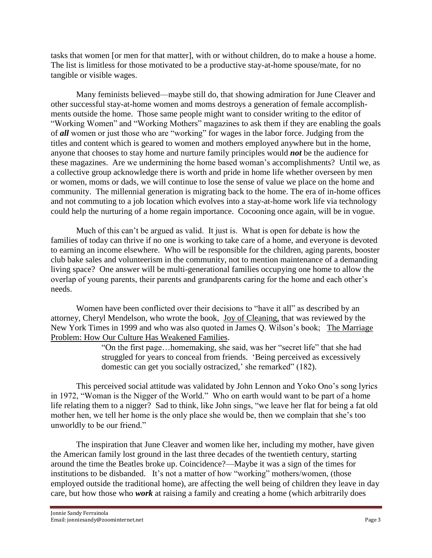tasks that women [or men for that matter], with or without children, do to make a house a home. The list is limitless for those motivated to be a productive stay-at-home spouse/mate, for no tangible or visible wages.

Many feminists believed—maybe still do, that showing admiration for June Cleaver and other successful stay-at-home women and moms destroys a generation of female accomplishments outside the home. Those same people might want to consider writing to the editor of "Working Women" and "Working Mothers" magazines to ask them if they are enabling the goals of *all* women or just those who are "working" for wages in the labor force. Judging from the titles and content which is geared to women and mothers employed anywhere but in the home, anyone that chooses to stay home and nurture family principles would *not* be the audience for these magazines. Are we undermining the home based woman's accomplishments? Until we, as a collective group acknowledge there is worth and pride in home life whether overseen by men or women, moms or dads, we will continue to lose the sense of value we place on the home and community. The millennial generation is migrating back to the home. The era of in-home offices and not commuting to a job location which evolves into a stay-at-home work life via technology could help the nurturing of a home regain importance. Cocooning once again, will be in vogue.

Much of this can't be argued as valid. It just is. What is open for debate is how the families of today can thrive if no one is working to take care of a home, and everyone is devoted to earning an income elsewhere. Who will be responsible for the children, aging parents, booster club bake sales and volunteerism in the community, not to mention maintenance of a demanding living space? One answer will be multi-generational families occupying one home to allow the overlap of young parents, their parents and grandparents caring for the home and each other's needs.

Women have been conflicted over their decisions to "have it all" as described by an attorney, Cheryl Mendelson, who wrote the book, Joy of Cleaning, that was reviewed by the New York Times in 1999 and who was also quoted in James Q. Wilson's book; The Marriage Problem: How Our Culture Has Weakened Families.

> "On the first page…homemaking, she said, was her "secret life" that she had struggled for years to conceal from friends. 'Being perceived as excessively domestic can get you socially ostracized,' she remarked" (182).

This perceived social attitude was validated by John Lennon and Yoko Ono's song lyrics in 1972, "Woman is the Nigger of the World." Who on earth would want to be part of a home life relating them to a nigger? Sad to think, like John sings, "we leave her flat for being a fat old mother hen, we tell her home is the only place she would be, then we complain that she's too unworldly to be our friend."

The inspiration that June Cleaver and women like her, including my mother, have given the American family lost ground in the last three decades of the twentieth century, starting around the time the Beatles broke up. Coincidence?—Maybe it was a sign of the times for institutions to be disbanded. It's not a matter of how "working" mothers/women, (those employed outside the traditional home), are affecting the well being of children they leave in day care, but how those who *work* at raising a family and creating a home (which arbitrarily does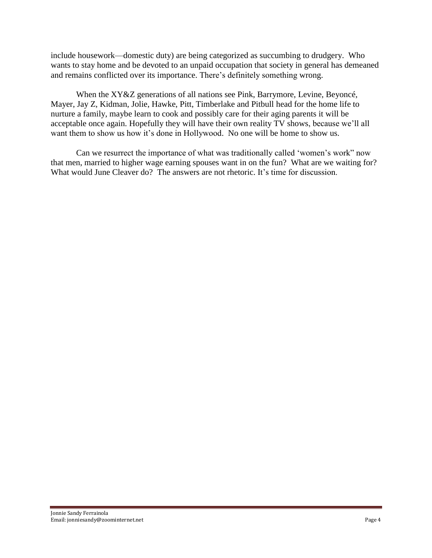include housework—domestic duty) are being categorized as succumbing to drudgery. Who wants to stay home and be devoted to an unpaid occupation that society in general has demeaned and remains conflicted over its importance. There's definitely something wrong.

When the XY&Z generations of all nations see Pink, Barrymore, Levine, Beyoncé, Mayer, Jay Z, Kidman, Jolie, Hawke, Pitt, Timberlake and Pitbull head for the home life to nurture a family, maybe learn to cook and possibly care for their aging parents it will be acceptable once again. Hopefully they will have their own reality TV shows, because we'll all want them to show us how it's done in Hollywood. No one will be home to show us.

Can we resurrect the importance of what was traditionally called 'women's work" now that men, married to higher wage earning spouses want in on the fun? What are we waiting for? What would June Cleaver do? The answers are not rhetoric. It's time for discussion.